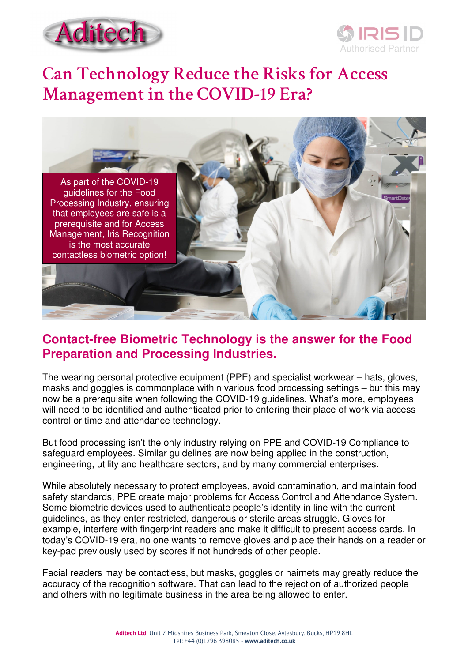



# **Can Technology Reduce the Risks for Access Management in the COVID-19 Era?**



### **Contact-free Biometric Technology is the answer for the Food Preparation and Processing Industries.**

The wearing personal protective equipment (PPE) and specialist workwear – hats, gloves, masks and goggles is commonplace within various food processing settings – but this may now be a prerequisite when following the COVID-19 guidelines. What's more, employees will need to be identified and authenticated prior to entering their place of work via access control or time and attendance technology.

But food processing isn't the only industry relying on PPE and COVID-19 Compliance to safeguard employees. Similar guidelines are now being applied in the construction, engineering, utility and healthcare sectors, and by many commercial enterprises.

While absolutely necessary to protect employees, avoid contamination, and maintain food safety standards, PPE create major problems for Access Control and Attendance System. Some biometric devices used to authenticate people's identity in line with the current guidelines, as they enter restricted, dangerous or sterile areas struggle. Gloves for example, interfere with fingerprint readers and make it difficult to present access cards. In today's COVID-19 era, no one wants to remove gloves and place their hands on a reader or key-pad previously used by scores if not hundreds of other people.

Facial readers may be contactless, but masks, goggles or hairnets may greatly reduce the accuracy of the recognition software. That can lead to the rejection of authorized people and others with no legitimate business in the area being allowed to enter.